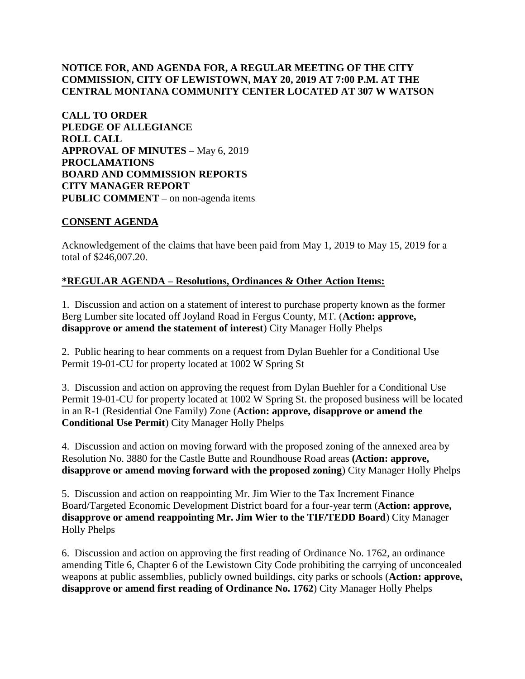# **NOTICE FOR, AND AGENDA FOR, A REGULAR MEETING OF THE CITY COMMISSION, CITY OF LEWISTOWN, MAY 20, 2019 AT 7:00 P.M. AT THE CENTRAL MONTANA COMMUNITY CENTER LOCATED AT 307 W WATSON**

**CALL TO ORDER PLEDGE OF ALLEGIANCE ROLL CALL APPROVAL OF MINUTES** – May 6, 2019 **PROCLAMATIONS BOARD AND COMMISSION REPORTS CITY MANAGER REPORT PUBLIC COMMENT –** on non-agenda items

### **CONSENT AGENDA**

Acknowledgement of the claims that have been paid from May 1, 2019 to May 15, 2019 for a total of \$246,007.20.

### **\*REGULAR AGENDA – Resolutions, Ordinances & Other Action Items:**

1. Discussion and action on a statement of interest to purchase property known as the former Berg Lumber site located off Joyland Road in Fergus County, MT. (**Action: approve, disapprove or amend the statement of interest**) City Manager Holly Phelps

2. Public hearing to hear comments on a request from Dylan Buehler for a Conditional Use Permit 19-01-CU for property located at 1002 W Spring St

3. Discussion and action on approving the request from Dylan Buehler for a Conditional Use Permit 19-01-CU for property located at 1002 W Spring St. the proposed business will be located in an R-1 (Residential One Family) Zone (**Action: approve, disapprove or amend the Conditional Use Permit**) City Manager Holly Phelps

4. Discussion and action on moving forward with the proposed zoning of the annexed area by Resolution No. 3880 for the Castle Butte and Roundhouse Road areas **(Action: approve, disapprove or amend moving forward with the proposed zoning**) City Manager Holly Phelps

5. Discussion and action on reappointing Mr. Jim Wier to the Tax Increment Finance Board/Targeted Economic Development District board for a four-year term (**Action: approve, disapprove or amend reappointing Mr. Jim Wier to the TIF/TEDD Board**) City Manager Holly Phelps

6. Discussion and action on approving the first reading of Ordinance No. 1762, an ordinance amending Title 6, Chapter 6 of the Lewistown City Code prohibiting the carrying of unconcealed weapons at public assemblies, publicly owned buildings, city parks or schools (**Action: approve, disapprove or amend first reading of Ordinance No. 1762**) City Manager Holly Phelps